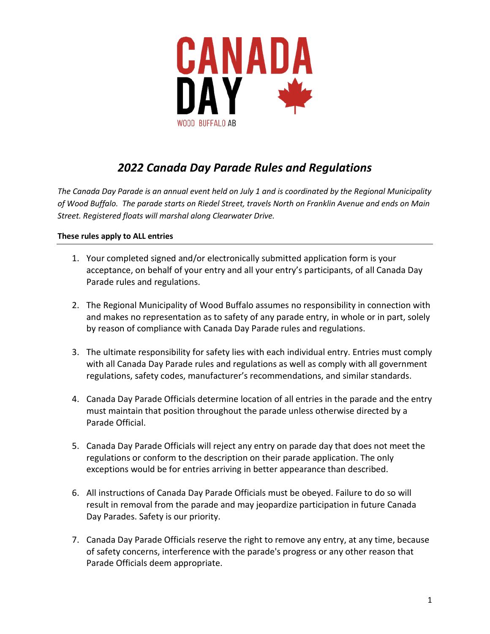

# *2022 Canada Day Parade Rules and Regulations*

*The Canada Day Parade is an annual event held on July 1 and is coordinated by the Regional Municipality of Wood Buffalo. The parade starts on Riedel Street, travels North on Franklin Avenue and ends on Main Street. Registered floats will marshal along Clearwater Drive.* 

## **These rules apply to ALL entries**

- 1. Your completed signed and/or electronically submitted application form is your acceptance, on behalf of your entry and all your entry's participants, of all Canada Day Parade rules and regulations.
- 2. The Regional Municipality of Wood Buffalo assumes no responsibility in connection with and makes no representation as to safety of any parade entry, in whole or in part, solely by reason of compliance with Canada Day Parade rules and regulations.
- 3. The ultimate responsibility for safety lies with each individual entry. Entries must comply with all Canada Day Parade rules and regulations as well as comply with all government regulations, safety codes, manufacturer's recommendations, and similar standards.
- 4. Canada Day Parade Officials determine location of all entries in the parade and the entry must maintain that position throughout the parade unless otherwise directed by a Parade Official.
- 5. Canada Day Parade Officials will reject any entry on parade day that does not meet the regulations or conform to the description on their parade application. The only exceptions would be for entries arriving in better appearance than described.
- 6. All instructions of Canada Day Parade Officials must be obeyed. Failure to do so will result in removal from the parade and may jeopardize participation in future Canada Day Parades. Safety is our priority.
- 7. Canada Day Parade Officials reserve the right to remove any entry, at any time, because of safety concerns, interference with the parade's progress or any other reason that Parade Officials deem appropriate.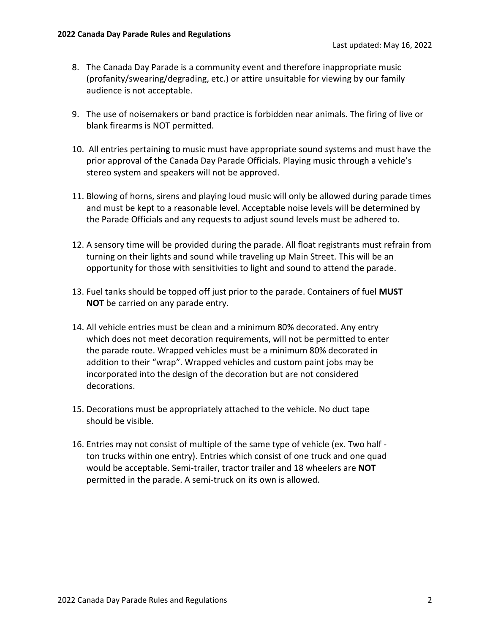- 8. The Canada Day Parade is a community event and therefore inappropriate music (profanity/swearing/degrading, etc.) or attire unsuitable for viewing by our family audience is not acceptable.
- 9. The use of noisemakers or band practice is forbidden near animals. The firing of live or blank firearms is NOT permitted.
- 10. All entries pertaining to music must have appropriate sound systems and must have the prior approval of the Canada Day Parade Officials. Playing music through a vehicle's stereo system and speakers will not be approved.
- 11. Blowing of horns, sirens and playing loud music will only be allowed during parade times and must be kept to a reasonable level. Acceptable noise levels will be determined by the Parade Officials and any requests to adjust sound levels must be adhered to.
- 12. A sensory time will be provided during the parade. All float registrants must refrain from turning on their lights and sound while traveling up Main Street. This will be an opportunity for those with sensitivities to light and sound to attend the parade.
- 13. Fuel tanks should be topped off just prior to the parade. Containers of fuel **MUST NOT** be carried on any parade entry.
- 14. All vehicle entries must be clean and a minimum 80% decorated. Any entry which does not meet decoration requirements, will not be permitted to enter the parade route. Wrapped vehicles must be a minimum 80% decorated in addition to their "wrap". Wrapped vehicles and custom paint jobs may be incorporated into the design of the decoration but are not considered decorations.
- 15. Decorations must be appropriately attached to the vehicle. No duct tape should be visible.
- 16. Entries may not consist of multiple of the same type of vehicle (ex. Two half ton trucks within one entry). Entries which consist of one truck and one quad would be acceptable. Semi-trailer, tractor trailer and 18 wheelers are **NOT**  permitted in the parade. A semi-truck on its own is allowed.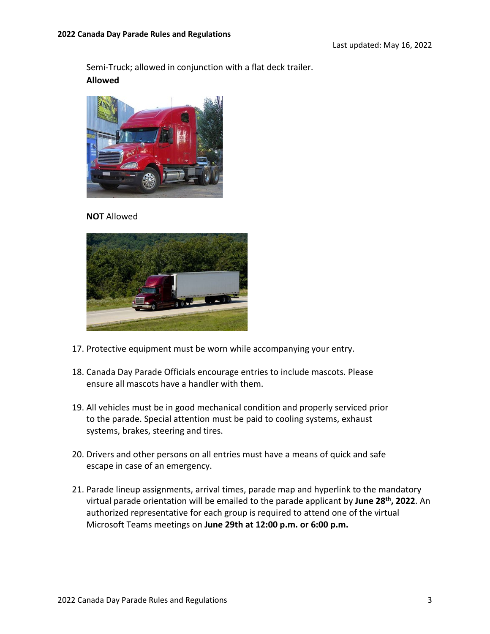Semi-Truck; allowed in conjunction with a flat deck trailer. **Allowed**



**NOT** Allowed



- 17. Protective equipment must be worn while accompanying your entry.
- 18. Canada Day Parade Officials encourage entries to include mascots. Please ensure all mascots have a handler with them.
- 19. All vehicles must be in good mechanical condition and properly serviced prior to the parade. Special attention must be paid to cooling systems, exhaust systems, brakes, steering and tires.
- 20. Drivers and other persons on all entries must have a means of quick and safe escape in case of an emergency.
- 21. Parade lineup assignments, arrival times, parade map and hyperlink to the mandatory virtual parade orientation will be emailed to the parade applicant by **June 28th, 2022**. An authorized representative for each group is required to attend one of the virtual Microsoft Teams meetings on **June 29th at 12:00 p.m. or 6:00 p.m.**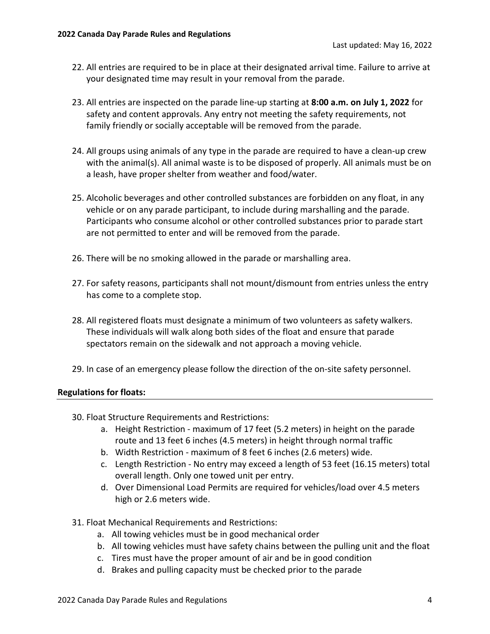- 22. All entries are required to be in place at their designated arrival time. Failure to arrive at your designated time may result in your removal from the parade.
- 23. All entries are inspected on the parade line-up starting at **8:00 a.m. on July 1, 2022** for safety and content approvals. Any entry not meeting the safety requirements, not family friendly or socially acceptable will be removed from the parade.
- 24. All groups using animals of any type in the parade are required to have a clean-up crew with the animal(s). All animal waste is to be disposed of properly. All animals must be on a leash, have proper shelter from weather and food/water.
- 25. Alcoholic beverages and other controlled substances are forbidden on any float, in any vehicle or on any parade participant, to include during marshalling and the parade. Participants who consume alcohol or other controlled substances prior to parade start are not permitted to enter and will be removed from the parade.
- 26. There will be no smoking allowed in the parade or marshalling area.
- 27. For safety reasons, participants shall not mount/dismount from entries unless the entry has come to a complete stop.
- 28. All registered floats must designate a minimum of two volunteers as safety walkers. These individuals will walk along both sides of the float and ensure that parade spectators remain on the sidewalk and not approach a moving vehicle.
- 29. In case of an emergency please follow the direction of the on-site safety personnel.

#### **Regulations for floats:**

- 30. Float Structure Requirements and Restrictions:
	- a. Height Restriction maximum of 17 feet (5.2 meters) in height on the parade route and 13 feet 6 inches (4.5 meters) in height through normal traffic
	- b. Width Restriction maximum of 8 feet 6 inches (2.6 meters) wide.
	- c. Length Restriction No entry may exceed a length of 53 feet (16.15 meters) total overall length. Only one towed unit per entry.
	- d. Over Dimensional Load Permits are required for vehicles/load over 4.5 meters high or 2.6 meters wide.
- 31. Float Mechanical Requirements and Restrictions:
	- a. All towing vehicles must be in good mechanical order
	- b. All towing vehicles must have safety chains between the pulling unit and the float
	- c. Tires must have the proper amount of air and be in good condition
	- d. Brakes and pulling capacity must be checked prior to the parade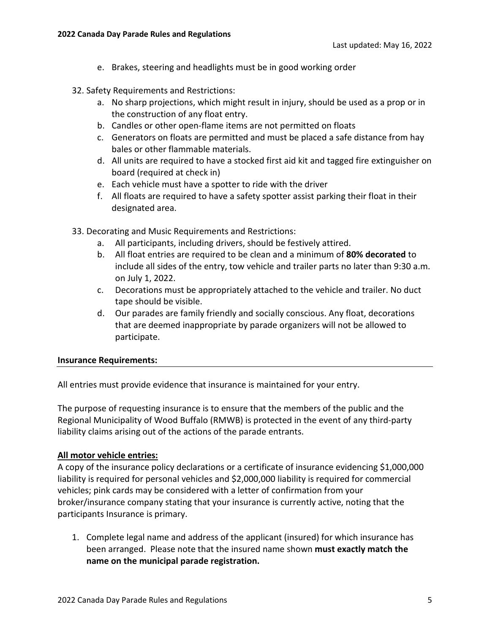- e. Brakes, steering and headlights must be in good working order
- 32. Safety Requirements and Restrictions:
	- a. No sharp projections, which might result in injury, should be used as a prop or in the construction of any float entry.
	- b. Candles or other open-flame items are not permitted on floats
	- c. Generators on floats are permitted and must be placed a safe distance from hay bales or other flammable materials.
	- d. All units are required to have a stocked first aid kit and tagged fire extinguisher on board (required at check in)
	- e. Each vehicle must have a spotter to ride with the driver
	- f. All floats are required to have a safety spotter assist parking their float in their designated area.
- 33. Decorating and Music Requirements and Restrictions:
	- a. All participants, including drivers, should be festively attired.
	- b. All float entries are required to be clean and a minimum of **80% decorated** to include all sides of the entry, tow vehicle and trailer parts no later than 9:30 a.m. on July 1, 2022.
	- c. Decorations must be appropriately attached to the vehicle and trailer. No duct tape should be visible.
	- d. Our parades are family friendly and socially conscious. Any float, decorations that are deemed inappropriate by parade organizers will not be allowed to participate.

#### **Insurance Requirements:**

All entries must provide evidence that insurance is maintained for your entry.

The purpose of requesting insurance is to ensure that the members of the public and the Regional Municipality of Wood Buffalo (RMWB) is protected in the event of any third-party liability claims arising out of the actions of the parade entrants.

# **All motor vehicle entries:**

A copy of the insurance policy declarations or a certificate of insurance evidencing \$1,000,000 liability is required for personal vehicles and \$2,000,000 liability is required for commercial vehicles; pink cards may be considered with a letter of confirmation from your broker/insurance company stating that your insurance is currently active, noting that the participants Insurance is primary.

1. Complete legal name and address of the applicant (insured) for which insurance has been arranged. Please note that the insured name shown **must exactly match the name on the municipal parade registration.**